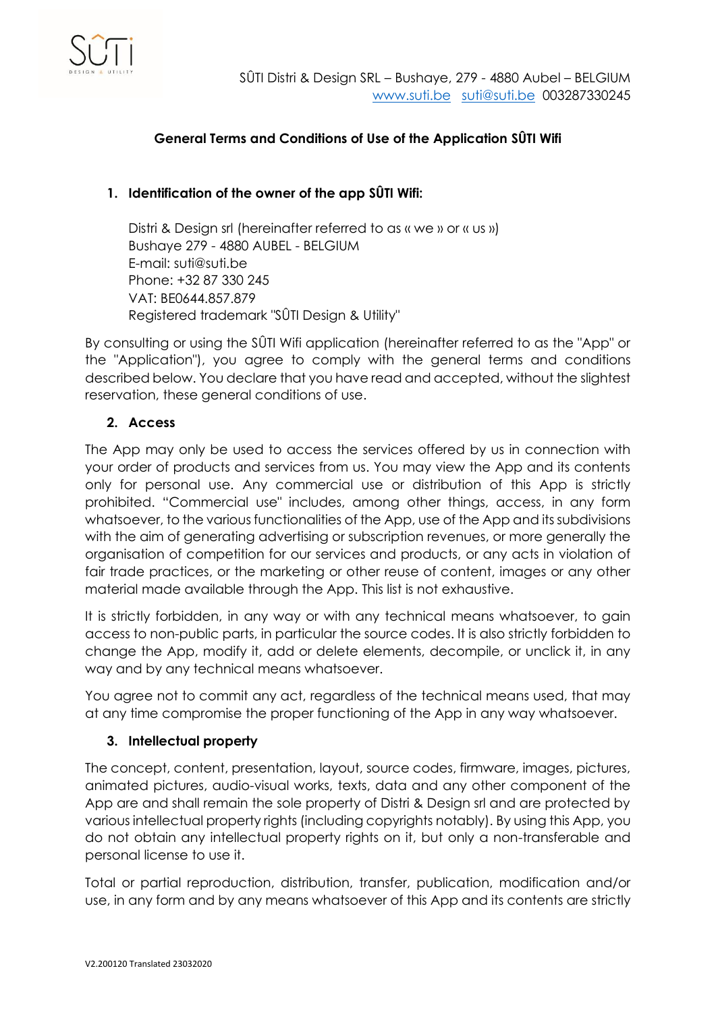

# **General Terms and Conditions of Use of the Application SÛTI Wifi**

## **1. Identification of the owner of the app SÛTI Wifi:**

Distri & Design srl (hereinafter referred to as « we » or « us ») Bushaye 279 - 4880 AUBEL - BELGIUM E-mail: suti@suti.be Phone: +32 87 330 245 VAT: BE0644.857.879 Registered trademark "SÛTI Design & Utility"

By consulting or using the SÛTI Wifi application (hereinafter referred to as the "App" or the "Application"), you agree to comply with the general terms and conditions described below. You declare that you have read and accepted, without the slightest reservation, these general conditions of use.

## **2. Access**

The App may only be used to access the services offered by us in connection with your order of products and services from us. You may view the App and its contents only for personal use. Any commercial use or distribution of this App is strictly prohibited. "Commercial use" includes, among other things, access, in any form whatsoever, to the various functionalities of the App, use of the App and its subdivisions with the aim of generating advertising or subscription revenues, or more generally the organisation of competition for our services and products, or any acts in violation of fair trade practices, or the marketing or other reuse of content, images or any other material made available through the App. This list is not exhaustive.

It is strictly forbidden, in any way or with any technical means whatsoever, to gain access to non-public parts, in particular the source codes. It is also strictly forbidden to change the App, modify it, add or delete elements, decompile, or unclick it, in any way and by any technical means whatsoever.

You agree not to commit any act, regardless of the technical means used, that may at any time compromise the proper functioning of the App in any way whatsoever.

## **3. Intellectual property**

The concept, content, presentation, layout, source codes, firmware, images, pictures, animated pictures, audio-visual works, texts, data and any other component of the App are and shall remain the sole property of Distri & Design srl and are protected by various intellectual property rights (including copyrights notably). By using this App, you do not obtain any intellectual property rights on it, but only a non-transferable and personal license to use it.

Total or partial reproduction, distribution, transfer, publication, modification and/or use, in any form and by any means whatsoever of this App and its contents are strictly